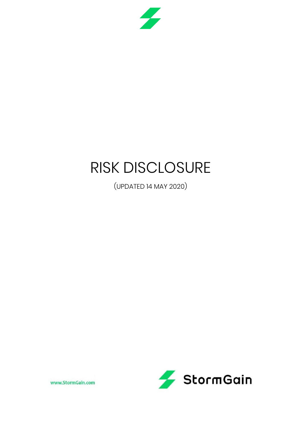

# RISK DISCLOSURE

(UPDATED 14 MAY 2020)



www.StormGain.com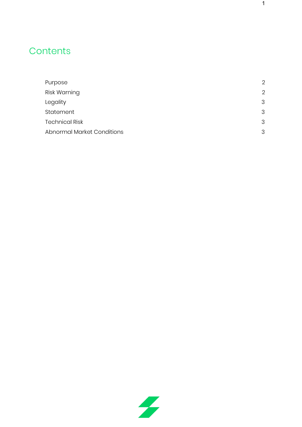# **Contents**

| Purpose                           | $\overline{2}$ |
|-----------------------------------|----------------|
| Risk Warning                      | $\overline{2}$ |
| Legality                          | 3              |
| Statement                         | 3              |
| <b>Technical Risk</b>             | 3              |
| <b>Abnormal Market Conditions</b> | 3              |

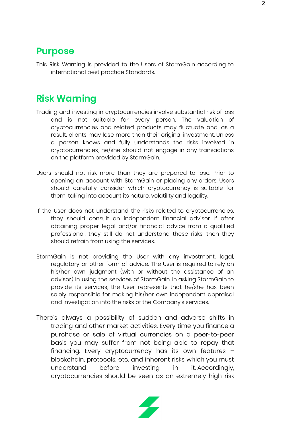#### <span id="page-2-0"></span>**Purpose**

This Risk Warning is provided to the Users of StormGain according to international best practice Standards.

#### <span id="page-2-1"></span>**Risk Warning**

- Trading and investing in cryptocurrencies involve substantial risk of loss and is not suitable for every person. The valuation of cryptocurrencies and related products may fluctuate and, as a result, clients may lose more than their original investment. Unless a person knows and fully understands the risks involved in cryptocurrencies, he/she should not engage in any transactions on the platform provided by StormGain.
- Users should not risk more than they are prepared to lose. Prior to opening an account with StormGain or placing any orders, Users should carefully consider which cryptocurrency is suitable for them, taking into account its nature, volatility and legality.
- If the User does not understand the risks related to cryptocurrencies, they should consult an independent financial advisor. If after obtaining proper legal and/or financial advice from a qualified professional, they still do not understand these risks, then they should refrain from using the services.
- StormGain is not providing the User with any investment, legal, regulatory or other form of advice. The User is required to rely on his/her own judgment (with or without the assistance of an advisor) in using the services of StormGain. In asking StormGain to provide its services, the User represents that he/she has been solely responsible for making his/her own independent appraisal and investigation into the risks of the Company's services.
- There's always a possibility of sudden and adverse shifts in trading and other market activities. Every time you finance a purchase or sale of virtual currencies on a peer-to-peer basis you may suffer from not being able to repay that financing. Every cryptocurrency has its own features – blockchain, protocols, etc. and inherent risks which you must understand before investing in it. Accordingly, cryptocurrencies should be seen as an extremely high risk

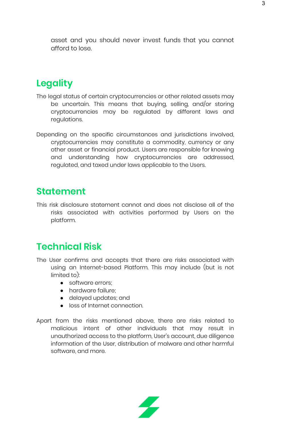asset and you should never invest funds that you cannot afford to lose.

## <span id="page-3-0"></span>**Legality**

- The legal status of certain cryptocurrencies or other related assets may be uncertain. This means that buying, selling, and/or storing cryptocurrencies may be regulated by different laws and regulations.
- Depending on the specific circumstances and jurisdictions involved, cryptocurrencies may constitute a commodity, currency or any other asset or financial product. Users are responsible for knowing and understanding how cryptocurrencies are addressed, regulated, and taxed under laws applicable to the Users.

#### <span id="page-3-1"></span>**Statement**

This risk disclosure statement cannot and does not disclose all of the risks associated with activities performed by Users on the platform.

## <span id="page-3-2"></span>**Technical Risk**

- The User confirms and accepts that there are risks associated with using an Internet-based Platform. This may include (but is not limited to):
	- software errors;
	- hardware failure;
	- delayed updates; and
	- loss of Internet connection.
- Apart from the risks mentioned above, there are risks related to malicious intent of other individuals that may result in unauthorized access to the platform, User's account, due diligence information of the User, distribution of malware and other harmful software, and more.